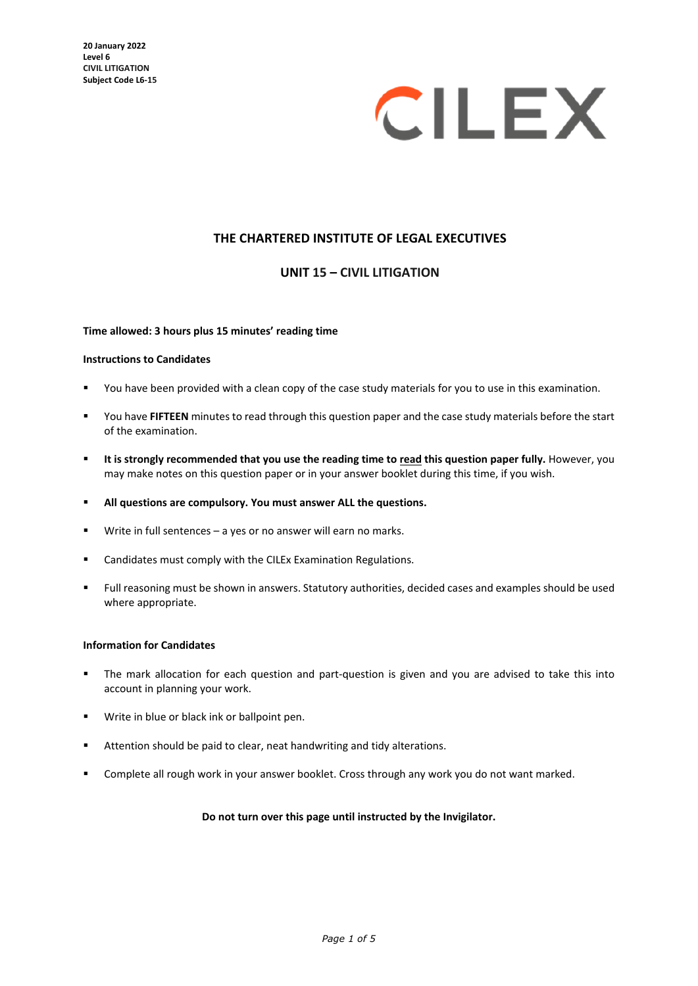

# **THE CHARTERED INSTITUTE OF LEGAL EXECUTIVES**

## **UNIT 15 – CIVIL LITIGATION**

#### **Time allowed: 3 hours plus 15 minutes' reading time**

#### **Instructions to Candidates**

- You have been provided with a clean copy of the case study materials for you to use in this examination.
- You have **FIFTEEN** minutes to read through this question paper and the case study materials before the start of the examination.
- **It is strongly recommended that you use the reading time to read this question paper fully.** However, you may make notes on this question paper or in your answer booklet during this time, if you wish.
- **All questions are compulsory. You must answer ALL the questions.**
- Write in full sentences a yes or no answer will earn no marks.
- **EXEC** Candidates must comply with the CILEx Examination Regulations.
- Full reasoning must be shown in answers. Statutory authorities, decided cases and examples should be used where appropriate.

### **Information for Candidates**

- The mark allocation for each question and part-question is given and you are advised to take this into account in planning your work.
- Write in blue or black ink or ballpoint pen.
- Attention should be paid to clear, neat handwriting and tidy alterations.
- **EXP** Complete all rough work in your answer booklet. Cross through any work you do not want marked.

#### **Do not turn over this page until instructed by the Invigilator.**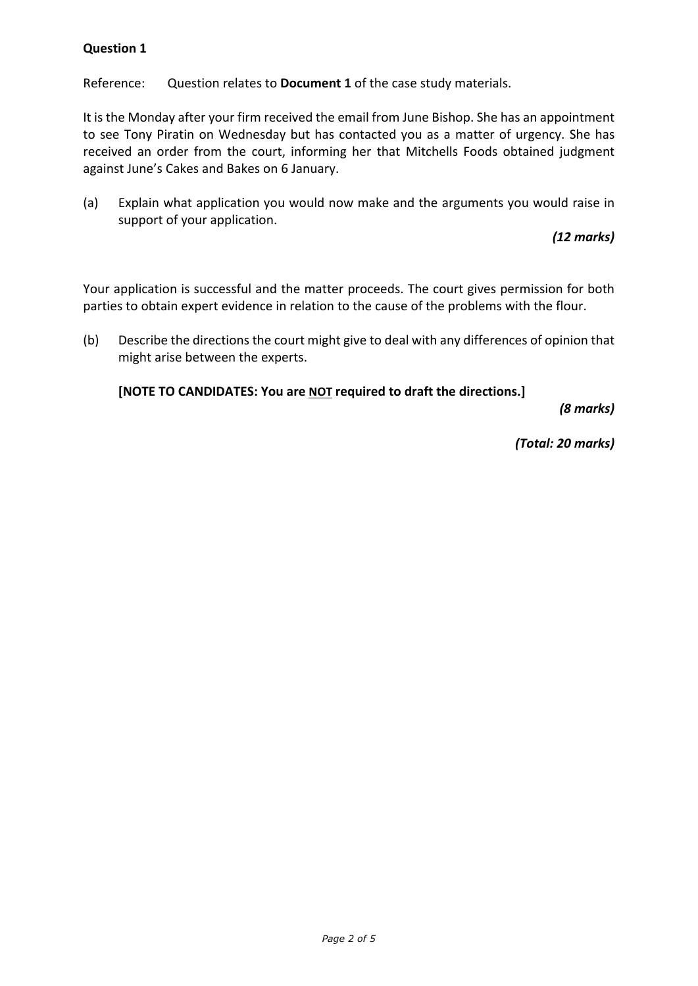Reference: Question relates to **Document 1** of the case study materials.

It is the Monday after your firm received the email from June Bishop. She has an appointment to see Tony Piratin on Wednesday but has contacted you as a matter of urgency. She has received an order from the court, informing her that Mitchells Foods obtained judgment against June's Cakes and Bakes on 6 January.

(a) Explain what application you would now make and the arguments you would raise in support of your application.

*(12 marks)*

Your application is successful and the matter proceeds. The court gives permission for both parties to obtain expert evidence in relation to the cause of the problems with the flour.

(b) Describe the directions the court might give to deal with any differences of opinion that might arise between the experts.

**[NOTE TO CANDIDATES: You are NOT required to draft the directions.]**

*(8 marks)*

*(Total: 20 marks)*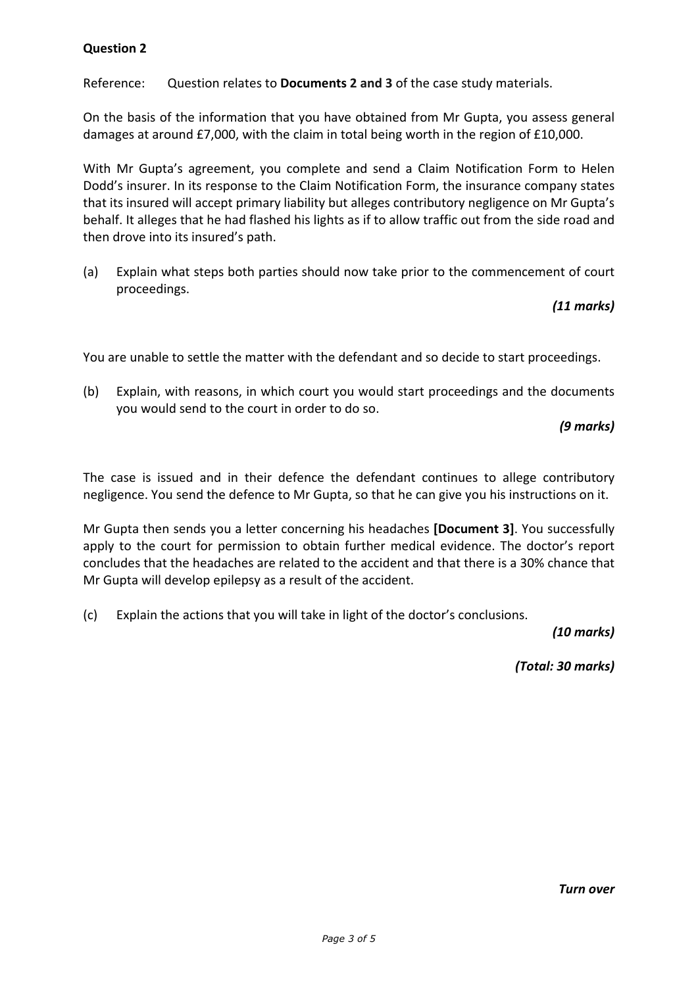Reference: Question relates to **Documents 2 and 3** of the case study materials.

On the basis of the information that you have obtained from Mr Gupta, you assess general damages at around £7,000, with the claim in total being worth in the region of £10,000.

With Mr Gupta's agreement, you complete and send a Claim Notification Form to Helen Dodd's insurer. In its response to the Claim Notification Form, the insurance company states that its insured will accept primary liability but alleges contributory negligence on Mr Gupta's behalf. It alleges that he had flashed his lights as if to allow traffic out from the side road and then drove into its insured's path.

(a) Explain what steps both parties should now take prior to the commencement of court proceedings.

# *(11 marks)*

You are unable to settle the matter with the defendant and so decide to start proceedings.

(b) Explain, with reasons, in which court you would start proceedings and the documents you would send to the court in order to do so.

*(9 marks)*

The case is issued and in their defence the defendant continues to allege contributory negligence. You send the defence to Mr Gupta, so that he can give you his instructions on it.

Mr Gupta then sends you a letter concerning his headaches **[Document 3]**. You successfully apply to the court for permission to obtain further medical evidence. The doctor's report concludes that the headaches are related to the accident and that there is a 30% chance that Mr Gupta will develop epilepsy as a result of the accident.

(c) Explain the actions that you will take in light of the doctor's conclusions.

*(10 marks)*

*(Total: 30 marks)*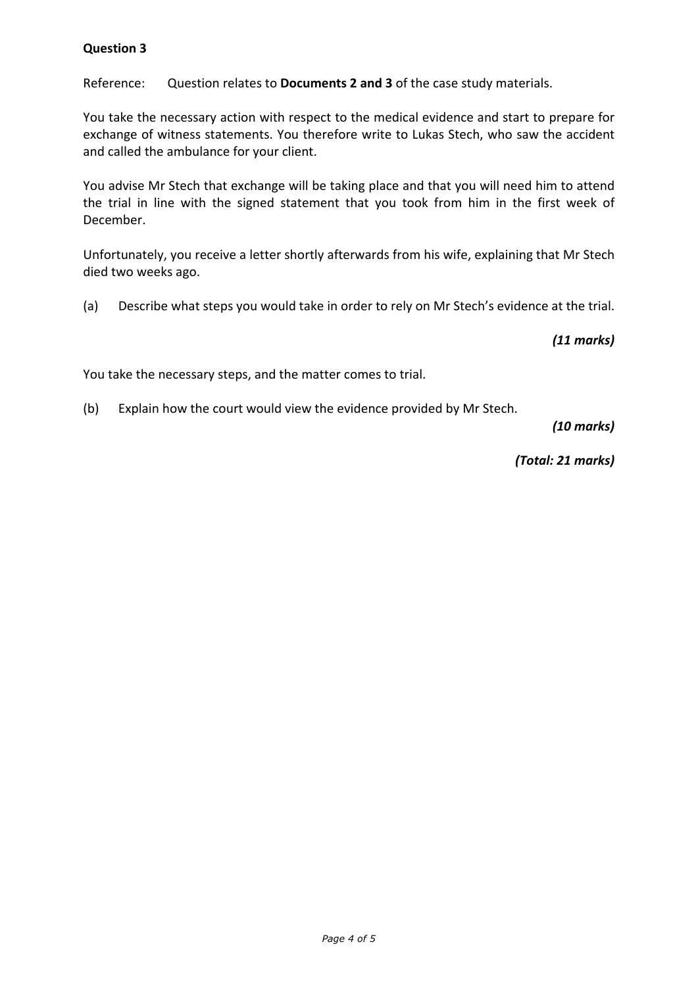Reference: Question relates to **Documents 2 and 3** of the case study materials.

You take the necessary action with respect to the medical evidence and start to prepare for exchange of witness statements. You therefore write to Lukas Stech, who saw the accident and called the ambulance for your client.

You advise Mr Stech that exchange will be taking place and that you will need him to attend the trial in line with the signed statement that you took from him in the first week of December.

Unfortunately, you receive a letter shortly afterwards from his wife, explaining that Mr Stech died two weeks ago.

(a) Describe what steps you would take in order to rely on Mr Stech's evidence at the trial.

*(11 marks)*

You take the necessary steps, and the matter comes to trial.

(b) Explain how the court would view the evidence provided by Mr Stech.

*(10 marks)*

*(Total: 21 marks)*